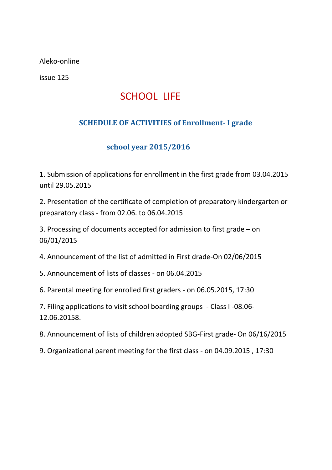Aleko-online

issue 125

## SCHOOL LIFE

## **SCHEDULE OF ACTIVITIES of Enrollment- I grade**

## **school year 2015/2016**

1. Submission of applications for enrollment in the first grade from 03.04.2015 until 29.05.2015

2. Presentation of the certificate of completion of preparatory kindergarten or preparatory class - from 02.06. to 06.04.2015

3. Processing of documents accepted for admission to first grade – on 06/01/2015

4. Announcement of the list of admitted in First drade-On 02/06/2015

5. Announcement of lists of classes - on 06.04.2015

6. Parental meeting for enrolled first graders - on 06.05.2015, 17:30

7. Filing applications to visit school boarding groups - Class I -08.06- 12.06.20158.

8. Announcement of lists of children adopted SBG-First grade- On 06/16/2015

9. Organizational parent meeting for the first class - on 04.09.2015 , 17:30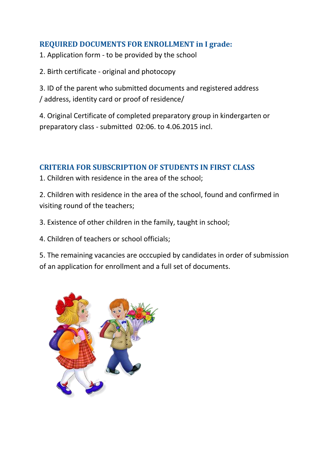### **REQUIRED DOCUMENTS FOR ENROLLMENT in I grade:**

1. Application form - to be provided by the school

2. Birth certificate - original and photocopy

3. ID of the parent who submitted documents and registered address / address, identity card or proof of residence/

4. Original Certificate of completed preparatory group in kindergarten or preparatory class - submitted 02:06. to 4.06.2015 incl.

#### **CRITERIA FOR SUBSCRIPTION OF STUDENTS IN FIRST CLASS**

1. Children with residence in the area of the school;

2. Children with residence in the area of the school, found and confirmed in visiting round of the teachers;

3. Existence of other children in the family, taught in school;

4. Children of teachers or school officials;

5. The remaining vacancies are occcupied by candidates in order of submission of an application for enrollment and a full set of documents.

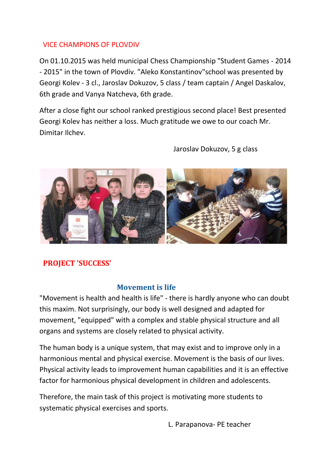#### VICE CHAMPIONS OF PLOVDIV

On 01.10.2015 was held municipal Chess Championship "Student Games - 2014 - 2015" in the town of Plovdiv. "Aleko Konstantinov"school was presented by Georgi Kolev - 3 cl., Jaroslav Dokuzov, 5 class / team captain / Angel Daskalov, 6th grade and Vanya Natcheva, 6th grade.

After a close fight our school ranked prestigious second place! Best presented Georgi Kolev has neither a loss. Much gratitude we owe to our coach Mr. Dimitar Ilchev.



Jaroslav Dokuzov, 5 g class

### **PROJECT 'SUCCESS'**

#### **Movement is life**

"Movement is health and health is life" - there is hardly anyone who can doubt this maxim. Not surprisingly, our body is well designed and adapted for movement, "equipped" with a complex and stable physical structure and all organs and systems are closely related to physical activity.

The human body is a unique system, that may exist and to improve only in a harmonious mental and physical exercise. Movement is the basis of our lives. Physical activity leads to improvement human capabilities and it is an effective factor for harmonious physical development in children and adolescents.

Therefore, the main task of this project is motivating more students to systematic physical exercises and sports.

L. Parapanova- PE teacher